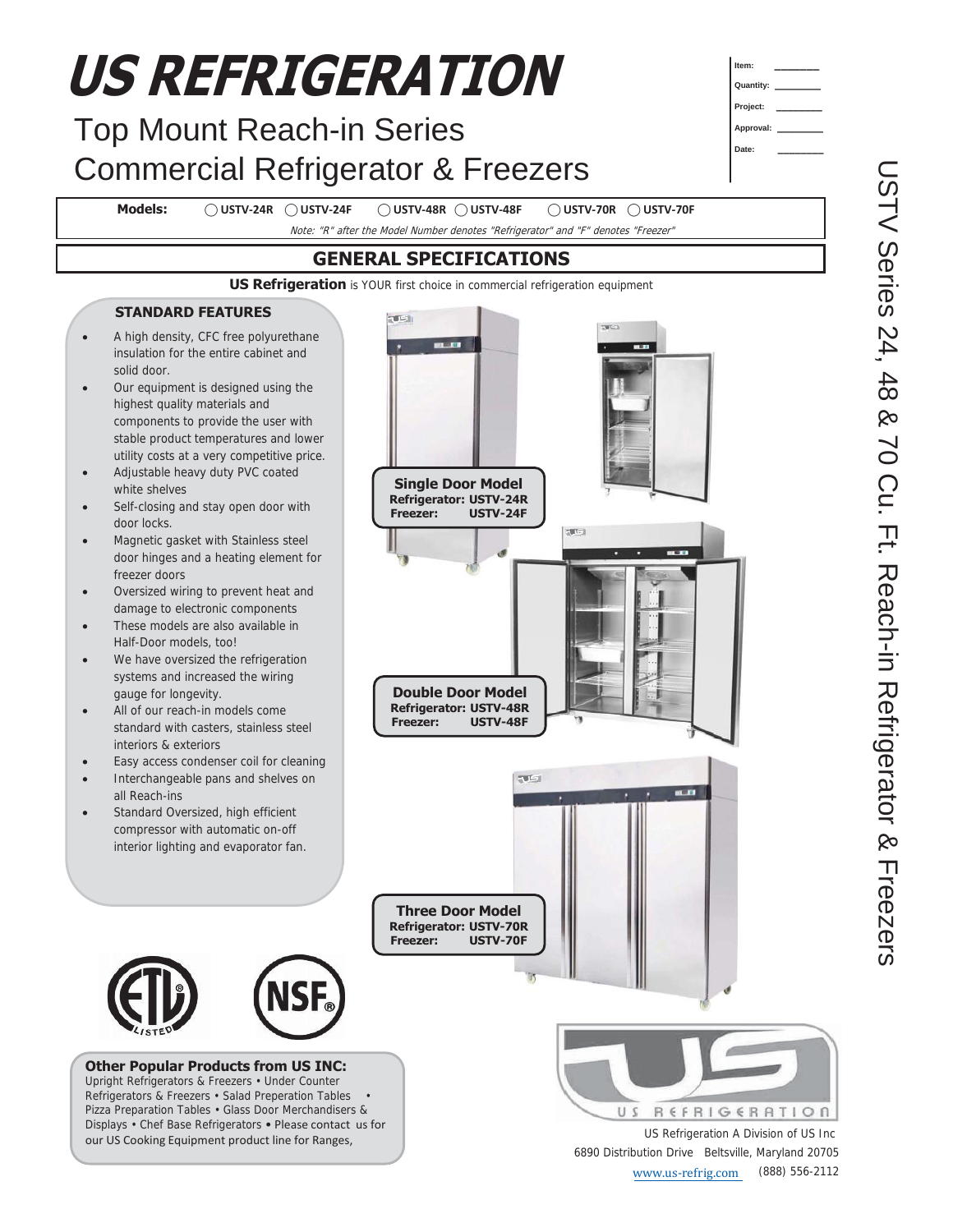#### **US REFRIGERATION Item: \_\_\_\_\_\_\_ Quantity: \_\_\_\_\_\_\_\_ Project: \_\_\_\_\_\_\_\_** Top Mount Reach-in Series **Approval: \_\_\_\_\_\_\_\_ Date: \_\_\_\_\_\_\_\_** Commercial Refrigerator & Freezers **Models: ⃝ USTV-24R ⃝ USTV-24F ⃝ USTV-48R ⃝ USTV-48F ⃝ USTV-70R ⃝ USTV-70F**  Note: "R" after the Model Number denotes "Refrigerator" and "F" denotes "Freezer" **GENERAL SPECIFICATIONS US Refrigeration** is YOUR first choice in commercial refrigeration equipment **STANDARD FEATURES**   $T = 1$ x A high density, CFC free polyurethane **ALC: NO** insulation for the entire cabinet and solid door. Our equipment is designed using the highest quality materials and components to provide the user with stable product temperatures and lower utility costs at a very competitive price. Adjustable heavy duty PVC coated **Single Door Model**  white shelves **Refrigerator: USTV-24R**  Self-closing and stay open door with **Freezer: USTV-24F**  door locks.  $T = 1$ Magnetic gasket with Stainless steel door hinges and a heating element for freezer doors Oversized wiring to prevent heat and damage to electronic components These models are also available in Half-Door models, too! We have oversized the refrigeration systems and increased the wiring **Double Door Model**  gauge for longevity. **Refrigerator: USTV-48R**  All of our reach-in models come **Freezer: USTV-48F**  standard with casters, stainless steel interiors & exteriors Easy access condenser coil for cleaning  $T =$ Interchangeable pans and shelves on all Reach-ins Standard Oversized, high efficient compressor with automatic on-off interior lighting and evaporator fan. **Three Door Model Refrigerator: USTV-70R Freezer: USTV-70F Other Popular Products from US INC:**  Upright Refrigerators & Freezers • Under Counter Refrigerators & Freezers • Salad Preperation Tables • Pizza Preparation Tables • Glass Door Merchandisers & US REFRIGERATION Displays • Chef Base Refrigerators • Please contact us for US Refrigeration A Division of US Inc our US Cooking Equipment product line for Ranges, 6890 Distribution Drive Beltsville, Maryland 20705 www.us-refrig.com (888) 556-2112